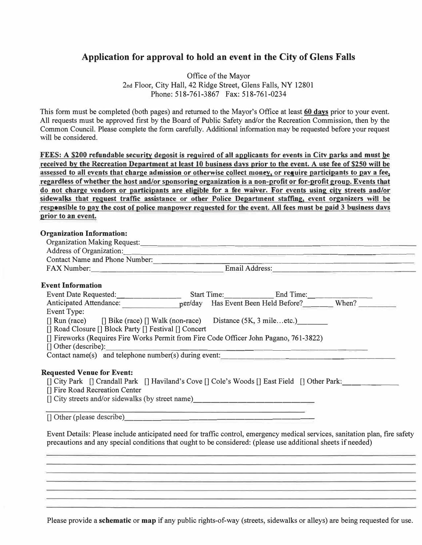## **Application for approval to hold an event in the City of Glens Falls**

Office of the Mayor 2nd Floor, City Hall, 42 Ridge Street, Glens Falls, NY 12801 Phone: 518-761-3867 Fax: 518-761-0234

This form must be completed (both pages) and returned to the Mayor's Office at least 60 days prior to your event. All requests must be approved first by the Board of Public Safety and/or the Recreation Commission, then by the Common Council. Please complete the form carefully. Additional information may be requested before your request will be considered.

FEES: A \$200 refundable security deposit is required of all applicants for events in Citv parks and must be received by the Recreation Department at least 10 business davs prior to the event. A use fee of \$250 will be assessed to all events that charge admission or otherwise collect money. or require participants to pav a fee, regardless of whether the host and/or sponsoring organization is a non-profit or for-profit group. Events that do not charge vendors or participants are eligible for a fee waiver. For events using city streets and/or sidewalks that request traffic assistance or other Police Department staffing, event organizers will be responsible to pay the cost of police manpower requested for the event. All fees must be paid 3 business davs prior to an event.

#### Organization Information:

| <b>Organization Making Request:</b>   |                |
|---------------------------------------|----------------|
| Address of Organization:              |                |
| <b>Contact Name and Phone Number:</b> |                |
| <b>FAX Number:</b>                    | Email Address: |

### Event Information

| Event Date Requested:                                                                                                        |  |       |
|------------------------------------------------------------------------------------------------------------------------------|--|-------|
| Anticipated Attendance: per/day Has Event Been Held Before?                                                                  |  | When? |
| Event Type:                                                                                                                  |  |       |
| $\lceil \text{Run}(\text{race}) \rceil$ Bike (race) $\lceil \text{Walk}(\text{non-race}) \rceil$ Distance (5K, 3 mileetc.)   |  |       |
| [] Road Closure [] Block Party [] Festival [] Concert                                                                        |  |       |
| [] Fireworks (Requires Fire Works Permit from Fire Code Officer John Pagano, 761-3822)                                       |  |       |
| $\Box$ Other (describe):                                                                                                     |  |       |
| Contact name(s) and telephone number(s) during event:                                                                        |  |       |
|                                                                                                                              |  |       |
| <b>Requested Venue for Event:</b>                                                                                            |  |       |
| [] City Park [] Crandall Park [] Haviland's Cove [] Cole's Woods [] East Field [] Other Park:                                |  |       |
| [] Fire Road Recreation Center                                                                                               |  |       |
| [] City streets and/or sidewalks (by street name)_______________________________                                             |  |       |
|                                                                                                                              |  |       |
| $\Box$ Other (please describe)                                                                                               |  |       |
|                                                                                                                              |  |       |
| Event Details: Please include anticipated need for traffic control, emergency medical services, sanitation plan, fire safety |  |       |
| precautions and any special conditions that ought to be considered: (please use additional sheets if needed)                 |  |       |
|                                                                                                                              |  |       |

Please provide a schematic or map if any public rights-of-way (streets, sidewalks or alleys) are being requested for use.